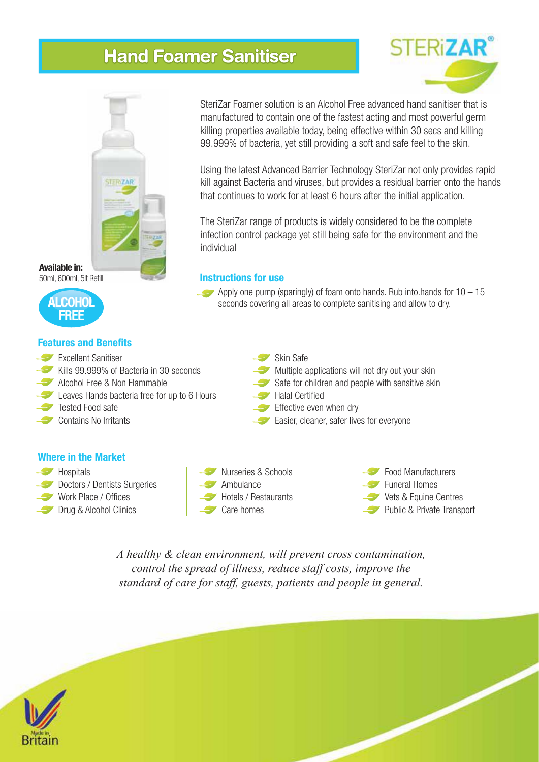# **Hand Foamer Sanitiser**



**Available in:** 50ml, 600ml, 5lt Refill



### **Features and Benefits**

- Excellent Sanitiser
- Kills 99.999% of Bacteria in 30 seconds
- Alcohol Free & Non Flammable
- Leaves Hands bacteria free for up to 6 Hours
- Tested Food safe
- Contains No Irritants

### **Where in the Market**

- **Hospitals Doctors / Dentists Surgeries**
- Work Place / Offices Drug & Alcohol Clinics
- Ambulance Care homes

Skin Safe

- Multiple applications will not dry out your skin
- Safe for children and people with sensitive skin
- Halal Certified
- Effective even when dry
- Easier, cleaner, safer lives for everyone



Food Manufacturers

- Funeral Homes
- Vets & Equine Centres
- Public & Private Transport

*A healthy & clean environment, will prevent cross contamination, control the spread of illness, reduce staff costs, improve the standard of care for staff, guests, patients and people in general.*



SteriZar Foamer solution is an Alcohol Free advanced hand sanitiser that is manufactured to contain one of the fastest acting and most powerful germ killing properties available today, being effective within 30 secs and killing 99.999% of bacteria, yet still providing a soft and safe feel to the skin.

Using the latest Advanced Barrier Technology SteriZar not only provides rapid kill against Bacteria and viruses, but provides a residual barrier onto the hands that continues to work for at least 6 hours after the initial application.

The SteriZar range of products is widely considered to be the complete infection control package yet still being safe for the environment and the individual

## **Instructions for use**

Apply one pump (sparingly) of foam onto hands. Rub into hands for  $10 - 15$ seconds covering all areas to complete sanitising and allow to dry.

# FRiZA